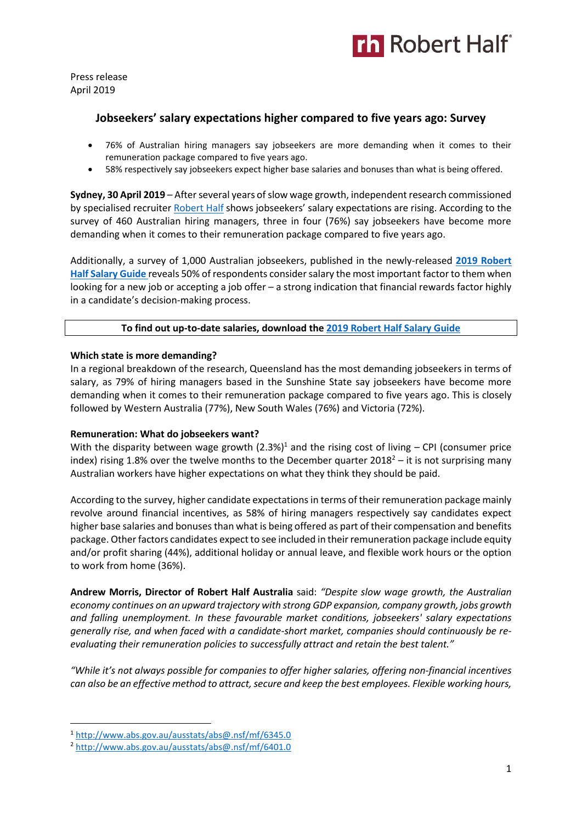

Press release April 2019

# **Jobseekers' salary expectations higher compared to five years ago: Survey**

- 76% of Australian hiring managers say jobseekers are more demanding when it comes to their remuneration package compared to five years ago.
- 58% respectively say jobseekers expect higher base salaries and bonuses than what is being offered.

**Sydney, 30 April 2019** – After several years of slow wage growth, independent research commissioned by specialised recruite[r Robert Half](https://www.roberthalf.com.au/?utm_source=roberthalf&utm_medium=pressrelease&utm_campaign=rh-all-nonspecific-ongoing) shows jobseekers' salary expectations are rising. According to the survey of 460 Australian hiring managers, three in four (76%) say jobseekers have become more demanding when it comes to their remuneration package compared to five years ago.

Additionally, a survey of 1,000 Australian jobseekers, published in the newly-released **[2019 Robert](https://www.roberthalf.com.au/research-insights/salary-guide?utm_source=roberthalf&utm_medium=pressrelease&utm_campaign=rh-all-salaryguide2019-ongoing)  [Half Salary Guide](https://www.roberthalf.com.au/research-insights/salary-guide?utm_source=roberthalf&utm_medium=pressrelease&utm_campaign=rh-all-salaryguide2019-ongoing)** reveals 50% of respondents consider salary the most important factor to them when looking for a new job or accepting a job offer – a strong indication that financial rewards factor highly in a candidate's decision-making process.

**To find out up-to-date salaries, download the [2019 Robert Half Salary Guide](https://www.roberthalf.com.au/research-insights/salary-guide?utm_source=roberthalf&utm_medium=pressrelease&utm_campaign=rh-all-salaryguide2019-ongoing)**

## **Which state is more demanding?**

In a regional breakdown of the research, Queensland has the most demanding jobseekers in terms of salary, as 79% of hiring managers based in the Sunshine State say jobseekers have become more demanding when it comes to their remuneration package compared to five years ago. This is closely followed by Western Australia (77%), New South Wales (76%) and Victoria (72%).

## **Remuneration: What do jobseekers want?**

With the disparity between wage growth  $(2.3%)<sup>1</sup>$  and the rising cost of living – CPI (consumer price index) rising 1.8% over the twelve months to the December quarter 2018<sup>2</sup> – it is not surprising many Australian workers have higher expectations on what they think they should be paid.

According to the survey, higher candidate expectations in terms of their remuneration package mainly revolve around financial incentives, as 58% of hiring managers respectively say candidates expect higher base salaries and bonuses than what is being offered as part of their compensation and benefits package. Other factors candidates expect to see included in their remuneration package include equity and/or profit sharing (44%), additional holiday or annual leave, and flexible work hours or the option to work from home (36%).

**Andrew Morris, Director of Robert Half Australia** said: *"Despite slow wage growth, the Australian economy continues on an upward trajectory with strong GDP expansion, company growth, jobs growth and falling unemployment. In these favourable market conditions, jobseekers' salary expectations generally rise, and when faced with a candidate-short market, companies should continuously be reevaluating their remuneration policies to successfully attract and retain the best talent."*

*"While it's not always possible for companies to offer higher salaries, offering non-financial incentives can also be an effective method to attract, secure and keep the best employees. Flexible working hours,* 

1

<sup>1</sup> <http://www.abs.gov.au/ausstats/abs@.nsf/mf/6345.0>

<sup>2</sup> <http://www.abs.gov.au/ausstats/abs@.nsf/mf/6401.0>